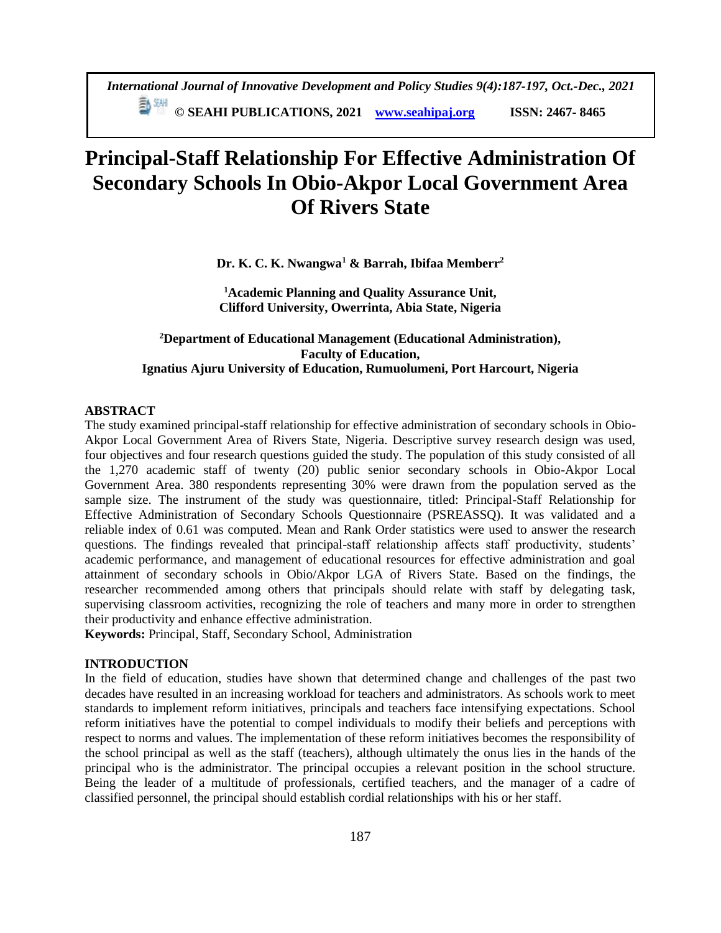# **Principal-Staff Relationship For Effective Administration Of Secondary Schools In Obio-Akpor Local Government Area Of Rivers State**

**Dr. K. C. K. Nwangwa<sup>1</sup> & Barrah, Ibifaa Memberr<sup>2</sup>**

**<sup>1</sup>Academic Planning and Quality Assurance Unit, Clifford University, Owerrinta, Abia State, Nigeria**

# **<sup>2</sup>Department of Educational Management (Educational Administration), Faculty of Education, Ignatius Ajuru University of Education, Rumuolumeni, Port Harcourt, Nigeria**

# **ABSTRACT**

The study examined principal-staff relationship for effective administration of secondary schools in Obio-Akpor Local Government Area of Rivers State, Nigeria. Descriptive survey research design was used, four objectives and four research questions guided the study. The population of this study consisted of all the 1,270 academic staff of twenty (20) public senior secondary schools in Obio-Akpor Local Government Area. 380 respondents representing 30% were drawn from the population served as the sample size. The instrument of the study was questionnaire, titled: Principal-Staff Relationship for Effective Administration of Secondary Schools Questionnaire (PSREASSQ). It was validated and a reliable index of 0.61 was computed. Mean and Rank Order statistics were used to answer the research questions. The findings revealed that principal-staff relationship affects staff productivity, students' academic performance, and management of educational resources for effective administration and goal attainment of secondary schools in Obio/Akpor LGA of Rivers State. Based on the findings, the researcher recommended among others that principals should relate with staff by delegating task, supervising classroom activities, recognizing the role of teachers and many more in order to strengthen their productivity and enhance effective administration.

**Keywords:** Principal, Staff, Secondary School, Administration

## **INTRODUCTION**

In the field of education, studies have shown that determined change and challenges of the past two decades have resulted in an increasing workload for teachers and administrators. As schools work to meet standards to implement reform initiatives, principals and teachers face intensifying expectations. School reform initiatives have the potential to compel individuals to modify their beliefs and perceptions with respect to norms and values. The implementation of these reform initiatives becomes the responsibility of the school principal as well as the staff (teachers), although ultimately the onus lies in the hands of the principal who is the administrator. The principal occupies a relevant position in the school structure. Being the leader of a multitude of professionals, certified teachers, and the manager of a cadre of classified personnel, the principal should establish cordial relationships with his or her staff.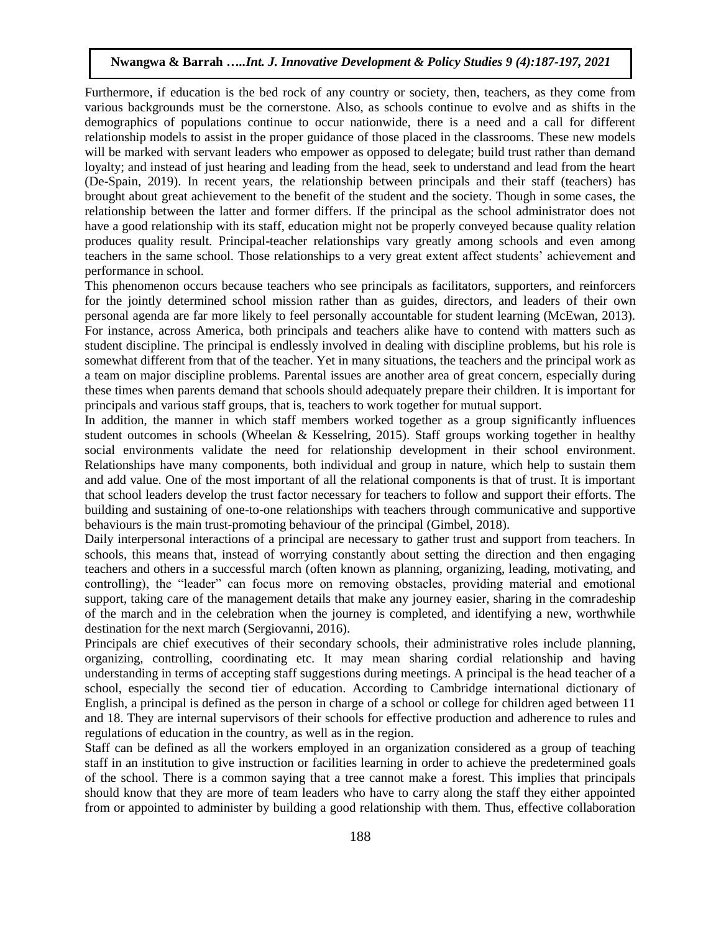Furthermore, if education is the bed rock of any country or society, then, teachers, as they come from various backgrounds must be the cornerstone. Also, as schools continue to evolve and as shifts in the demographics of populations continue to occur nationwide, there is a need and a call for different relationship models to assist in the proper guidance of those placed in the classrooms. These new models will be marked with servant leaders who empower as opposed to delegate; build trust rather than demand loyalty; and instead of just hearing and leading from the head, seek to understand and lead from the heart (De-Spain, 2019). In recent years, the relationship between principals and their staff (teachers) has brought about great achievement to the benefit of the student and the society. Though in some cases, the relationship between the latter and former differs. If the principal as the school administrator does not have a good relationship with its staff, education might not be properly conveyed because quality relation produces quality result. Principal-teacher relationships vary greatly among schools and even among teachers in the same school. Those relationships to a very great extent affect students' achievement and performance in school.

This phenomenon occurs because teachers who see principals as facilitators, supporters, and reinforcers for the jointly determined school mission rather than as guides, directors, and leaders of their own personal agenda are far more likely to feel personally accountable for student learning (McEwan, 2013). For instance, across America, both principals and teachers alike have to contend with matters such as student discipline. The principal is endlessly involved in dealing with discipline problems, but his role is somewhat different from that of the teacher. Yet in many situations, the teachers and the principal work as a team on major discipline problems. Parental issues are another area of great concern, especially during these times when parents demand that schools should adequately prepare their children. It is important for principals and various staff groups, that is, teachers to work together for mutual support.

In addition, the manner in which staff members worked together as a group significantly influences student outcomes in schools (Wheelan & Kesselring, 2015). Staff groups working together in healthy social environments validate the need for relationship development in their school environment. Relationships have many components, both individual and group in nature, which help to sustain them and add value. One of the most important of all the relational components is that of trust. It is important that school leaders develop the trust factor necessary for teachers to follow and support their efforts. The building and sustaining of one-to-one relationships with teachers through communicative and supportive behaviours is the main trust-promoting behaviour of the principal (Gimbel, 2018).

Daily interpersonal interactions of a principal are necessary to gather trust and support from teachers. In schools, this means that, instead of worrying constantly about setting the direction and then engaging teachers and others in a successful march (often known as planning, organizing, leading, motivating, and controlling), the "leader" can focus more on removing obstacles, providing material and emotional support, taking care of the management details that make any journey easier, sharing in the comradeship of the march and in the celebration when the journey is completed, and identifying a new, worthwhile destination for the next march (Sergiovanni, 2016).

Principals are chief executives of their secondary schools, their administrative roles include planning, organizing, controlling, coordinating etc. It may mean sharing cordial relationship and having understanding in terms of accepting staff suggestions during meetings. A principal is the head teacher of a school, especially the second tier of education. According to Cambridge international dictionary of English, a principal is defined as the person in charge of a school or college for children aged between 11 and 18. They are internal supervisors of their schools for effective production and adherence to rules and regulations of education in the country, as well as in the region.

Staff can be defined as all the workers employed in an organization considered as a group of teaching staff in an institution to give instruction or facilities learning in order to achieve the predetermined goals of the school. There is a common saying that a tree cannot make a forest. This implies that principals should know that they are more of team leaders who have to carry along the staff they either appointed from or appointed to administer by building a good relationship with them. Thus, effective collaboration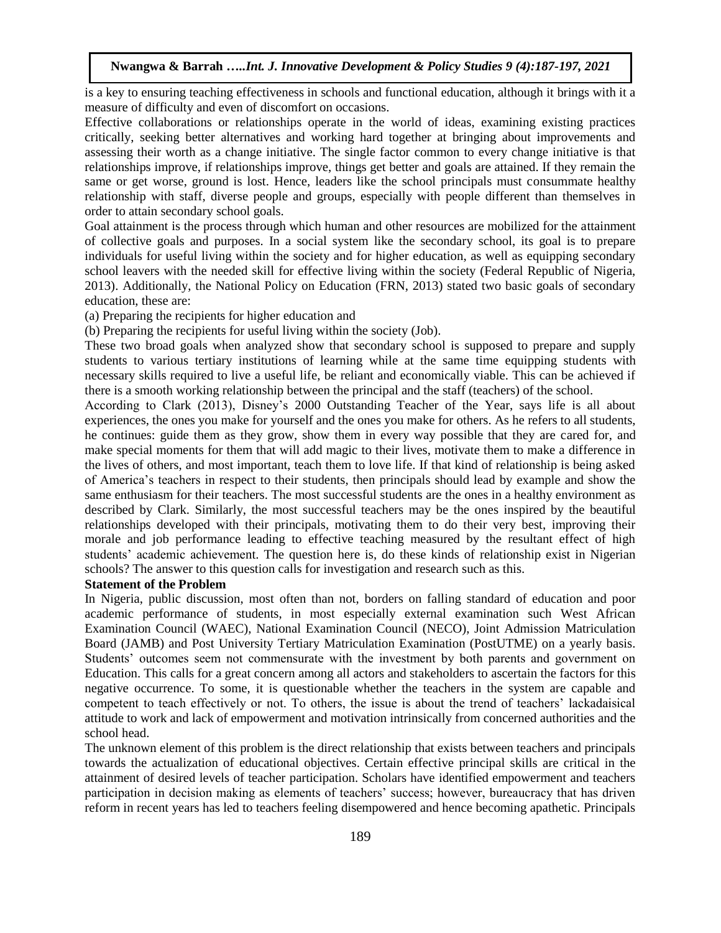is a key to ensuring teaching effectiveness in schools and functional education, although it brings with it a measure of difficulty and even of discomfort on occasions.

Effective collaborations or relationships operate in the world of ideas, examining existing practices critically, seeking better alternatives and working hard together at bringing about improvements and assessing their worth as a change initiative. The single factor common to every change initiative is that relationships improve, if relationships improve, things get better and goals are attained. If they remain the same or get worse, ground is lost. Hence, leaders like the school principals must consummate healthy relationship with staff, diverse people and groups, especially with people different than themselves in order to attain secondary school goals.

Goal attainment is the process through which human and other resources are mobilized for the attainment of collective goals and purposes. In a social system like the secondary school, its goal is to prepare individuals for useful living within the society and for higher education, as well as equipping secondary school leavers with the needed skill for effective living within the society (Federal Republic of Nigeria, 2013). Additionally, the National Policy on Education (FRN, 2013) stated two basic goals of secondary education, these are:

(a) Preparing the recipients for higher education and

(b) Preparing the recipients for useful living within the society (Job).

These two broad goals when analyzed show that secondary school is supposed to prepare and supply students to various tertiary institutions of learning while at the same time equipping students with necessary skills required to live a useful life, be reliant and economically viable. This can be achieved if there is a smooth working relationship between the principal and the staff (teachers) of the school.

According to Clark (2013), Disney's 2000 Outstanding Teacher of the Year, says life is all about experiences, the ones you make for yourself and the ones you make for others. As he refers to all students, he continues: guide them as they grow, show them in every way possible that they are cared for, and make special moments for them that will add magic to their lives, motivate them to make a difference in the lives of others, and most important, teach them to love life. If that kind of relationship is being asked of America's teachers in respect to their students, then principals should lead by example and show the same enthusiasm for their teachers. The most successful students are the ones in a healthy environment as described by Clark. Similarly, the most successful teachers may be the ones inspired by the beautiful relationships developed with their principals, motivating them to do their very best, improving their morale and job performance leading to effective teaching measured by the resultant effect of high students' academic achievement. The question here is, do these kinds of relationship exist in Nigerian schools? The answer to this question calls for investigation and research such as this.

## **Statement of the Problem**

In Nigeria, public discussion, most often than not, borders on falling standard of education and poor academic performance of students, in most especially external examination such West African Examination Council (WAEC), National Examination Council (NECO), Joint Admission Matriculation Board (JAMB) and Post University Tertiary Matriculation Examination (PostUTME) on a yearly basis. Students' outcomes seem not commensurate with the investment by both parents and government on Education. This calls for a great concern among all actors and stakeholders to ascertain the factors for this negative occurrence. To some, it is questionable whether the teachers in the system are capable and competent to teach effectively or not. To others, the issue is about the trend of teachers' lackadaisical attitude to work and lack of empowerment and motivation intrinsically from concerned authorities and the school head.

The unknown element of this problem is the direct relationship that exists between teachers and principals towards the actualization of educational objectives. Certain effective principal skills are critical in the attainment of desired levels of teacher participation. Scholars have identified empowerment and teachers participation in decision making as elements of teachers' success; however, bureaucracy that has driven reform in recent years has led to teachers feeling disempowered and hence becoming apathetic. Principals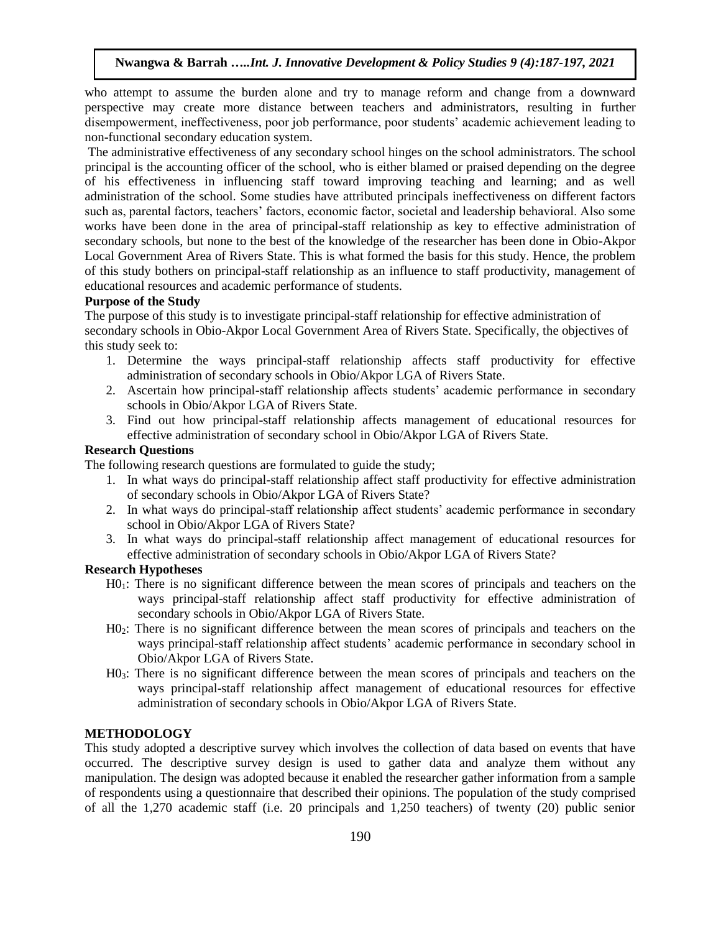who attempt to assume the burden alone and try to manage reform and change from a downward perspective may create more distance between teachers and administrators, resulting in further disempowerment, ineffectiveness, poor job performance, poor students' academic achievement leading to non-functional secondary education system.

The administrative effectiveness of any secondary school hinges on the school administrators. The school principal is the accounting officer of the school, who is either blamed or praised depending on the degree of his effectiveness in influencing staff toward improving teaching and learning; and as well administration of the school. Some studies have attributed principals ineffectiveness on different factors such as, parental factors, teachers' factors, economic factor, societal and leadership behavioral. Also some works have been done in the area of principal-staff relationship as key to effective administration of secondary schools, but none to the best of the knowledge of the researcher has been done in Obio-Akpor Local Government Area of Rivers State. This is what formed the basis for this study. Hence, the problem of this study bothers on principal-staff relationship as an influence to staff productivity, management of educational resources and academic performance of students.

#### **Purpose of the Study**

The purpose of this study is to investigate principal-staff relationship for effective administration of secondary schools in Obio-Akpor Local Government Area of Rivers State. Specifically, the objectives of this study seek to:

- 1. Determine the ways principal-staff relationship affects staff productivity for effective administration of secondary schools in Obio/Akpor LGA of Rivers State.
- 2. Ascertain how principal-staff relationship affects students' academic performance in secondary schools in Obio/Akpor LGA of Rivers State.
- 3. Find out how principal-staff relationship affects management of educational resources for effective administration of secondary school in Obio/Akpor LGA of Rivers State.

## **Research Questions**

The following research questions are formulated to guide the study;

- 1. In what ways do principal-staff relationship affect staff productivity for effective administration of secondary schools in Obio/Akpor LGA of Rivers State?
- 2. In what ways do principal-staff relationship affect students' academic performance in secondary school in Obio/Akpor LGA of Rivers State?
- 3. In what ways do principal-staff relationship affect management of educational resources for effective administration of secondary schools in Obio/Akpor LGA of Rivers State?

## **Research Hypotheses**

- H01: There is no significant difference between the mean scores of principals and teachers on the ways principal-staff relationship affect staff productivity for effective administration of secondary schools in Obio/Akpor LGA of Rivers State.
- H02: There is no significant difference between the mean scores of principals and teachers on the ways principal-staff relationship affect students' academic performance in secondary school in Obio/Akpor LGA of Rivers State.
- H03: There is no significant difference between the mean scores of principals and teachers on the ways principal-staff relationship affect management of educational resources for effective administration of secondary schools in Obio/Akpor LGA of Rivers State.

#### **METHODOLOGY**

This study adopted a descriptive survey which involves the collection of data based on events that have occurred. The descriptive survey design is used to gather data and analyze them without any manipulation. The design was adopted because it enabled the researcher gather information from a sample of respondents using a questionnaire that described their opinions. The population of the study comprised of all the 1,270 academic staff (i.e. 20 principals and 1,250 teachers) of twenty (20) public senior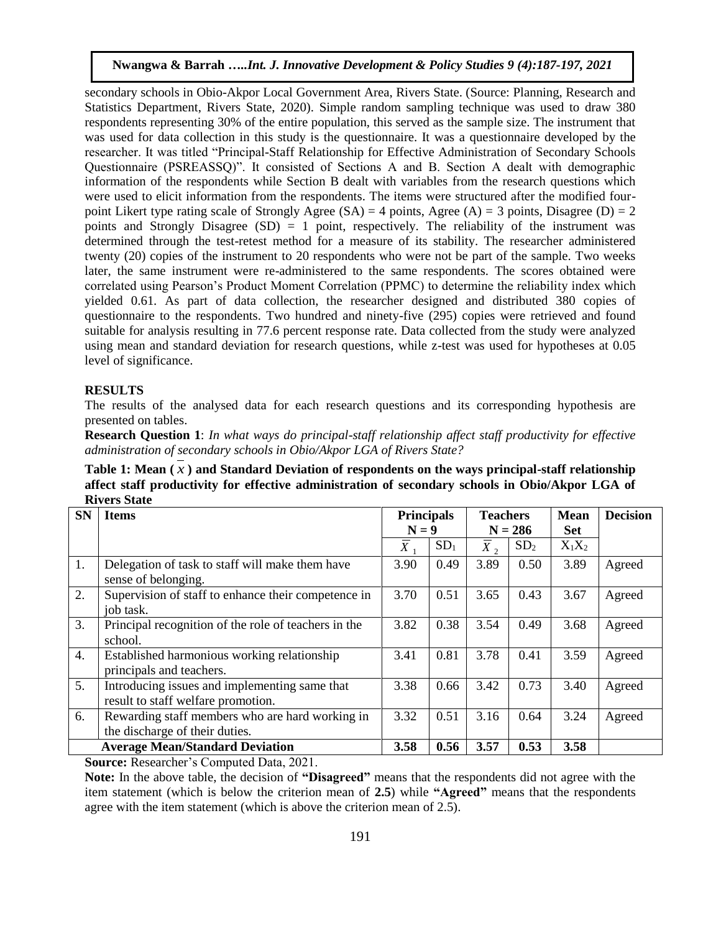secondary schools in Obio-Akpor Local Government Area, Rivers State. (Source: Planning, Research and Statistics Department, Rivers State, 2020). Simple random sampling technique was used to draw 380 respondents representing 30% of the entire population, this served as the sample size. The instrument that was used for data collection in this study is the questionnaire. It was a questionnaire developed by the researcher. It was titled "Principal-Staff Relationship for Effective Administration of Secondary Schools Questionnaire (PSREASSQ)". It consisted of Sections A and B. Section A dealt with demographic information of the respondents while Section B dealt with variables from the research questions which were used to elicit information from the respondents. The items were structured after the modified fourpoint Likert type rating scale of Strongly Agree (SA) = 4 points, Agree (A) = 3 points, Disagree (D) = 2 points and Strongly Disagree  $(SD) = 1$  point, respectively. The reliability of the instrument was determined through the test-retest method for a measure of its stability. The researcher administered twenty (20) copies of the instrument to 20 respondents who were not be part of the sample. Two weeks later, the same instrument were re-administered to the same respondents. The scores obtained were correlated using Pearson's Product Moment Correlation (PPMC) to determine the reliability index which yielded 0.61. As part of data collection, the researcher designed and distributed 380 copies of questionnaire to the respondents. Two hundred and ninety-five (295) copies were retrieved and found suitable for analysis resulting in 77.6 percent response rate. Data collected from the study were analyzed using mean and standard deviation for research questions, while z-test was used for hypotheses at 0.05 level of significance.

## **RESULTS**

The results of the analysed data for each research questions and its corresponding hypothesis are presented on tables.

**Research Question 1**: *In what ways do principal-staff relationship affect staff productivity for effective administration of secondary schools in Obio/Akpor LGA of Rivers State?*

**Table 1: Mean (** *x* **) and Standard Deviation of respondents on the ways principal-staff relationship affect staff productivity for effective administration of secondary schools in Obio/Akpor LGA of Rivers State**

| <b>SN</b>        | <b>Items</b>                                                                        | <b>Principals</b> |                 | <b>Teachers</b> |                 | <b>Mean</b> | <b>Decision</b> |
|------------------|-------------------------------------------------------------------------------------|-------------------|-----------------|-----------------|-----------------|-------------|-----------------|
|                  |                                                                                     | $N = 9$           |                 |                 | $N = 286$       | <b>Set</b>  |                 |
|                  |                                                                                     | $X_{\mathcal{E}}$ | SD <sub>1</sub> | $X_2$           | SD <sub>2</sub> | $X_1X_2$    |                 |
| 1.               | Delegation of task to staff will make them have<br>sense of belonging.              | 3.90              | 0.49            | 3.89            | 0.50            | 3.89        | Agreed          |
| 2.               | Supervision of staff to enhance their competence in<br>job task.                    | 3.70              | 0.51            | 3.65            | 0.43            | 3.67        | Agreed          |
| 3.               | Principal recognition of the role of teachers in the<br>school.                     | 3.82              | 0.38            | 3.54            | 0.49            | 3.68        | Agreed          |
| $\overline{4}$ . | Established harmonious working relationship<br>principals and teachers.             | 3.41              | 0.81            | 3.78            | 0.41            | 3.59        | Agreed          |
| 5.               | Introducing issues and implementing same that<br>result to staff welfare promotion. | 3.38              | 0.66            | 3.42            | 0.73            | 3.40        | Agreed          |
| 6.               | Rewarding staff members who are hard working in<br>the discharge of their duties.   | 3.32              | 0.51            | 3.16            | 0.64            | 3.24        | Agreed          |
|                  | <b>Average Mean/Standard Deviation</b>                                              | 3.58              | 0.56            | 3.57            | 0.53            | 3.58        |                 |

**Source:** Researcher's Computed Data, 2021.

**Note:** In the above table, the decision of **"Disagreed"** means that the respondents did not agree with the item statement (which is below the criterion mean of **2.5**) while **"Agreed"** means that the respondents agree with the item statement (which is above the criterion mean of 2.5).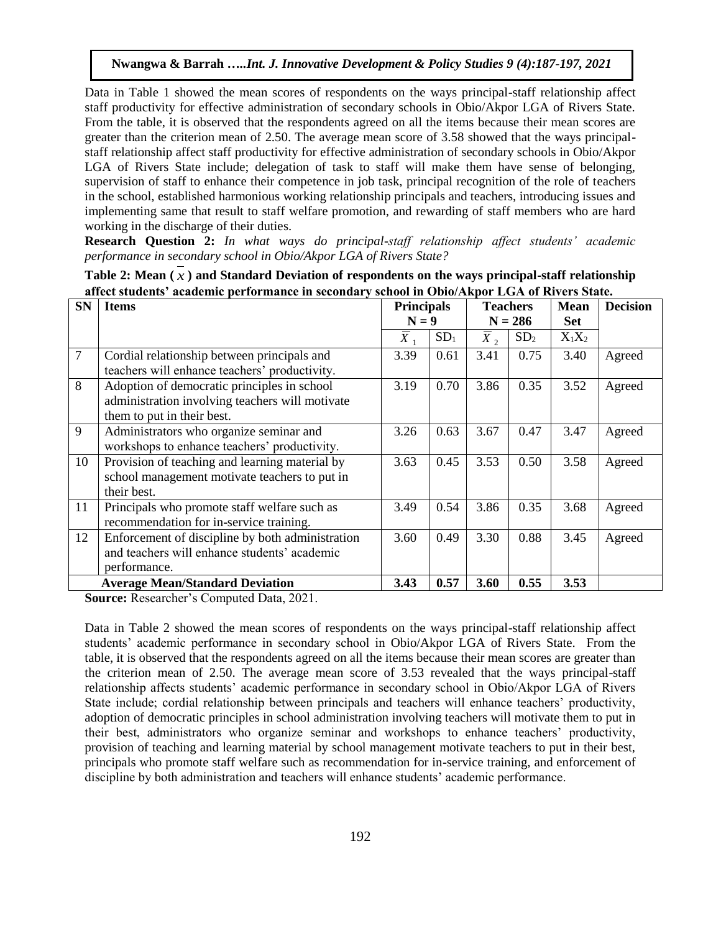Data in Table 1 showed the mean scores of respondents on the ways principal-staff relationship affect staff productivity for effective administration of secondary schools in Obio/Akpor LGA of Rivers State. From the table, it is observed that the respondents agreed on all the items because their mean scores are greater than the criterion mean of 2.50. The average mean score of 3.58 showed that the ways principalstaff relationship affect staff productivity for effective administration of secondary schools in Obio/Akpor LGA of Rivers State include; delegation of task to staff will make them have sense of belonging, supervision of staff to enhance their competence in job task, principal recognition of the role of teachers in the school, established harmonious working relationship principals and teachers, introducing issues and implementing same that result to staff welfare promotion, and rewarding of staff members who are hard working in the discharge of their duties.

**Research Question 2:** *In what ways do principal-staff relationship affect students' academic performance in secondary school in Obio/Akpor LGA of Rivers State?*

| <b>SN</b>      | ансе заасно "асаасние регистиансе нг эссонааг у эсноог нг Ортогтирог шмгт огтогдожно.<br><b>Items</b> | <b>Principals</b>         |                 |                             | <b>Teachers</b> | <b>Mean</b> | <b>Decision</b> |
|----------------|-------------------------------------------------------------------------------------------------------|---------------------------|-----------------|-----------------------------|-----------------|-------------|-----------------|
|                |                                                                                                       |                           |                 |                             |                 | <b>Set</b>  |                 |
|                |                                                                                                       |                           | $N = 9$         |                             | $N = 286$       |             |                 |
|                |                                                                                                       | $\overline{\overline{X}}$ | SD <sub>1</sub> | $\overline{\overline{X}}$ , | SD <sub>2</sub> | $X_1X_2$    |                 |
| $\overline{7}$ | Cordial relationship between principals and                                                           | 3.39                      | 0.61            | 3.41                        | 0.75            | 3.40        | Agreed          |
|                | teachers will enhance teachers' productivity.                                                         |                           |                 |                             |                 |             |                 |
| 8              | Adoption of democratic principles in school                                                           | 3.19                      | 0.70            | 3.86                        | 0.35            | 3.52        | Agreed          |
|                | administration involving teachers will motivate                                                       |                           |                 |                             |                 |             |                 |
|                | them to put in their best.                                                                            |                           |                 |                             |                 |             |                 |
| 9              | Administrators who organize seminar and                                                               | 3.26                      | 0.63            | 3.67                        | 0.47            | 3.47        | Agreed          |
|                | workshops to enhance teachers' productivity.                                                          |                           |                 |                             |                 |             |                 |
| 10             | Provision of teaching and learning material by                                                        | 3.63                      | 0.45            | 3.53                        | 0.50            | 3.58        | Agreed          |
|                | school management motivate teachers to put in                                                         |                           |                 |                             |                 |             |                 |
|                | their best.                                                                                           |                           |                 |                             |                 |             |                 |
| 11             | Principals who promote staff welfare such as                                                          | 3.49                      | 0.54            | 3.86                        | 0.35            | 3.68        | Agreed          |
|                | recommendation for in-service training.                                                               |                           |                 |                             |                 |             |                 |
| 12             | Enforcement of discipline by both administration                                                      | 3.60                      | 0.49            | 3.30                        | 0.88            | 3.45        | Agreed          |
|                | and teachers will enhance students' academic                                                          |                           |                 |                             |                 |             |                 |
|                | performance.                                                                                          |                           |                 |                             |                 |             |                 |
|                | <b>Average Mean/Standard Deviation</b>                                                                | 3.43                      | 0.57            | 3.60                        | 0.55            | 3.53        |                 |

**Table 2: Mean (** *x* **) and Standard Deviation of respondents on the ways principal-staff relationship affect students' academic performance in secondary school in Obio/Akpor LGA of Rivers State.**

**Source:** Researcher's Computed Data, 2021.

Data in Table 2 showed the mean scores of respondents on the ways principal-staff relationship affect students' academic performance in secondary school in Obio/Akpor LGA of Rivers State. From the table, it is observed that the respondents agreed on all the items because their mean scores are greater than the criterion mean of 2.50. The average mean score of 3.53 revealed that the ways principal-staff relationship affects students' academic performance in secondary school in Obio/Akpor LGA of Rivers State include; cordial relationship between principals and teachers will enhance teachers' productivity, adoption of democratic principles in school administration involving teachers will motivate them to put in their best, administrators who organize seminar and workshops to enhance teachers' productivity, provision of teaching and learning material by school management motivate teachers to put in their best, principals who promote staff welfare such as recommendation for in-service training, and enforcement of discipline by both administration and teachers will enhance students' academic performance.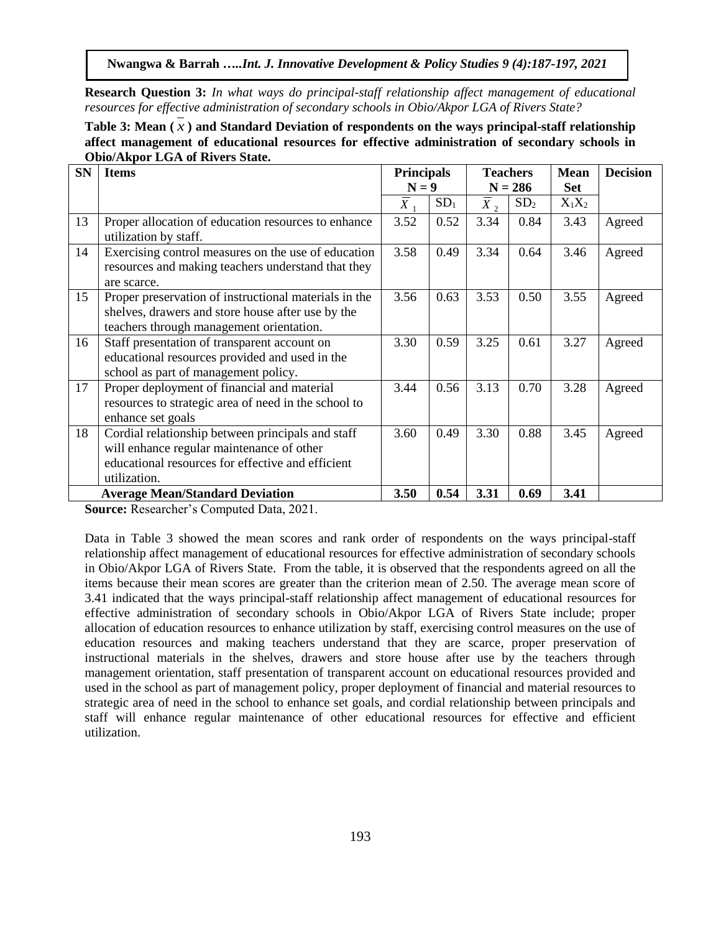**Research Question 3:** *In what ways do principal-staff relationship affect management of educational resources for effective administration of secondary schools in Obio/Akpor LGA of Rivers State?*

**Table 3: Mean (** *x* **) and Standard Deviation of respondents on the ways principal-staff relationship affect management of educational resources for effective administration of secondary schools in Obio/Akpor LGA of Rivers State.**

| <b>SN</b> | <b>Items</b>                                                                                                                                                        | <b>Principals</b> |                 |                             | <b>Teachers</b> | <b>Mean</b> | <b>Decision</b> |
|-----------|---------------------------------------------------------------------------------------------------------------------------------------------------------------------|-------------------|-----------------|-----------------------------|-----------------|-------------|-----------------|
|           |                                                                                                                                                                     | $N = 9$           |                 |                             | $N = 286$       | <b>Set</b>  |                 |
|           |                                                                                                                                                                     | $\overline{X}_1$  | SD <sub>1</sub> | $\overline{\overline{X}}_2$ | SD <sub>2</sub> | $X_1X_2$    |                 |
| 13        | Proper allocation of education resources to enhance<br>utilization by staff.                                                                                        | 3.52              | 0.52            | 3.34                        | 0.84            | 3.43        | Agreed          |
| 14        | Exercising control measures on the use of education<br>resources and making teachers understand that they<br>are scarce.                                            | 3.58              | 0.49            | 3.34                        | 0.64            | 3.46        | Agreed          |
| 15        | Proper preservation of instructional materials in the<br>shelves, drawers and store house after use by the<br>teachers through management orientation.              | 3.56              | 0.63            | 3.53                        | 0.50            | 3.55        | Agreed          |
| 16        | Staff presentation of transparent account on<br>educational resources provided and used in the<br>school as part of management policy.                              | 3.30              | 0.59            | 3.25                        | 0.61            | 3.27        | Agreed          |
| 17        | Proper deployment of financial and material<br>resources to strategic area of need in the school to<br>enhance set goals                                            | 3.44              | 0.56            | 3.13                        | 0.70            | 3.28        | Agreed          |
| 18        | Cordial relationship between principals and staff<br>will enhance regular maintenance of other<br>educational resources for effective and efficient<br>utilization. | 3.60              | 0.49            | 3.30                        | 0.88            | 3.45        | Agreed          |
|           | <b>Average Mean/Standard Deviation</b>                                                                                                                              | 3.50              | 0.54            | 3.31                        | 0.69            | 3.41        |                 |

**Source:** Researcher's Computed Data, 2021.

Data in Table 3 showed the mean scores and rank order of respondents on the ways principal-staff relationship affect management of educational resources for effective administration of secondary schools in Obio/Akpor LGA of Rivers State. From the table, it is observed that the respondents agreed on all the items because their mean scores are greater than the criterion mean of 2.50. The average mean score of 3.41 indicated that the ways principal-staff relationship affect management of educational resources for effective administration of secondary schools in Obio/Akpor LGA of Rivers State include; proper allocation of education resources to enhance utilization by staff, exercising control measures on the use of education resources and making teachers understand that they are scarce, proper preservation of instructional materials in the shelves, drawers and store house after use by the teachers through management orientation, staff presentation of transparent account on educational resources provided and used in the school as part of management policy, proper deployment of financial and material resources to strategic area of need in the school to enhance set goals, and cordial relationship between principals and staff will enhance regular maintenance of other educational resources for effective and efficient utilization.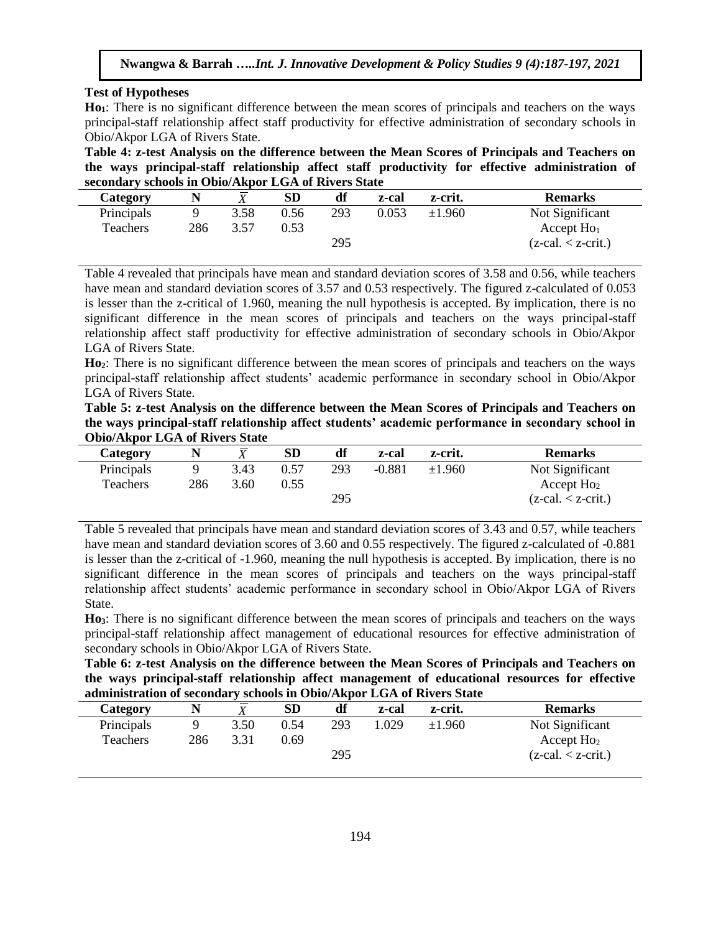## **Test of Hypotheses**

**Ho1**: There is no significant difference between the mean scores of principals and teachers on the ways principal-staff relationship affect staff productivity for effective administration of secondary schools in Obio/Akpor LGA of Rivers State.

**Table 4: z-test Analysis on the difference between the Mean Scores of Principals and Teachers on the ways principal-staff relationship affect staff productivity for effective administration of secondary schools in Obio/Akpor LGA of Rivers State**

| <b>Category</b> |     |      | <b>SD</b> |     | z-cal | z-crit.  | <b>Remarks</b>                     |
|-----------------|-----|------|-----------|-----|-------|----------|------------------------------------|
| Principals      |     | 3.58 | 0.56      | 293 | 0.053 | $+1.960$ | Not Significant                    |
| <b>Teachers</b> | 286 | 3.57 | 0.53      |     |       |          | Accept $Ho1$                       |
|                 |     |      |           | 295 |       |          | $(z-\text{cal.} < z-\text{crit.})$ |

Table 4 revealed that principals have mean and standard deviation scores of 3.58 and 0.56, while teachers have mean and standard deviation scores of 3.57 and 0.53 respectively. The figured z-calculated of 0.053 is lesser than the z-critical of 1.960, meaning the null hypothesis is accepted. By implication, there is no significant difference in the mean scores of principals and teachers on the ways principal-staff relationship affect staff productivity for effective administration of secondary schools in Obio/Akpor LGA of Rivers State.

**Ho2**: There is no significant difference between the mean scores of principals and teachers on the ways principal-staff relationship affect students' academic performance in secondary school in Obio/Akpor LGA of Rivers State.

**Table 5: z-test Analysis on the difference between the Mean Scores of Principals and Teachers on the ways principal-staff relationship affect students' academic performance in secondary school in Obio/Akpor LGA of Rivers State**

| Category   |     |      | SD   | df  | z-cal    | z-crit. | <b>Remarks</b>                     |
|------------|-----|------|------|-----|----------|---------|------------------------------------|
| Principals |     | 3.43 | 0.57 | 293 | $-0.881$ | ±1.960  | Not Significant                    |
| Teachers   | 286 | 3.60 | 0.55 |     |          |         | Accept $Ho2$                       |
|            |     |      |      | 295 |          |         | $(z-\text{cal.} < z-\text{crit.})$ |

Table 5 revealed that principals have mean and standard deviation scores of 3.43 and 0.57, while teachers have mean and standard deviation scores of 3.60 and 0.55 respectively. The figured z-calculated of -0.881 is lesser than the z-critical of -1.960, meaning the null hypothesis is accepted. By implication, there is no significant difference in the mean scores of principals and teachers on the ways principal-staff relationship affect students' academic performance in secondary school in Obio/Akpor LGA of Rivers State.

**Ho3**: There is no significant difference between the mean scores of principals and teachers on the ways principal-staff relationship affect management of educational resources for effective administration of secondary schools in Obio/Akpor LGA of Rivers State.

**Table 6: z-test Analysis on the difference between the Mean Scores of Principals and Teachers on the ways principal-staff relationship affect management of educational resources for effective administration of secondary schools in Obio/Akpor LGA of Rivers State**

| Category   |     |      | <b>SD</b> |     | z-cal | z-crit. | <b>Remarks</b>       |
|------------|-----|------|-----------|-----|-------|---------|----------------------|
| Principals |     | 3.50 | 0.54      | 293 | 0.029 | ±1.960  | Not Significant      |
| Teachers   | 286 | 3.31 | 0.69      |     |       |         | Accept $Ho2$         |
|            |     |      |           | 295 |       |         | $(z-cal. < z-crit.)$ |
|            |     |      |           |     |       |         |                      |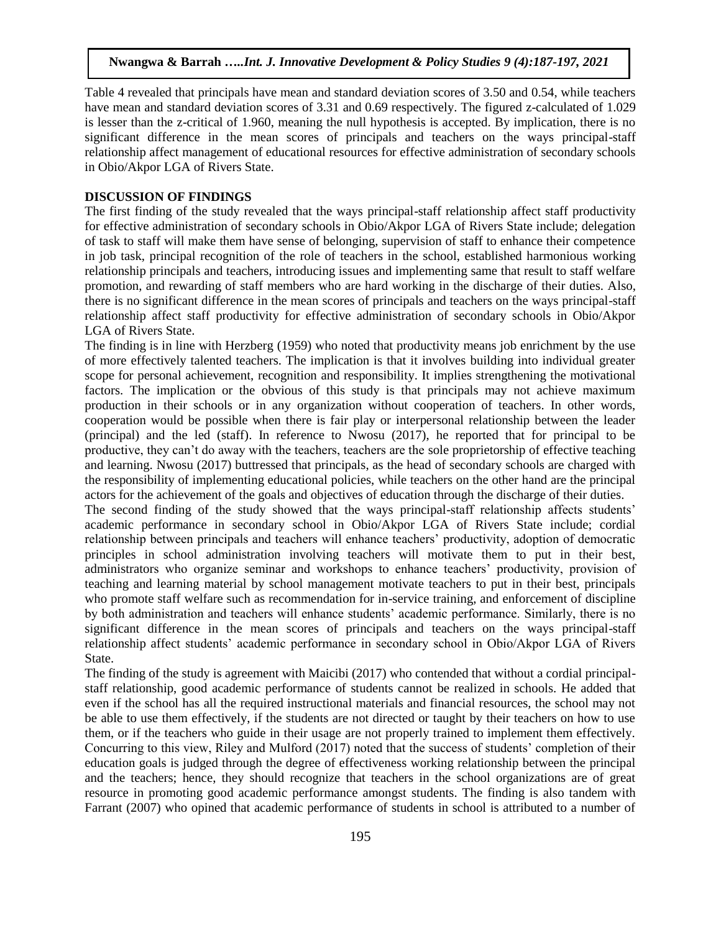Table 4 revealed that principals have mean and standard deviation scores of 3.50 and 0.54, while teachers have mean and standard deviation scores of 3.31 and 0.69 respectively. The figured z-calculated of 1.029 is lesser than the z-critical of 1.960, meaning the null hypothesis is accepted. By implication, there is no significant difference in the mean scores of principals and teachers on the ways principal-staff relationship affect management of educational resources for effective administration of secondary schools in Obio/Akpor LGA of Rivers State.

## **DISCUSSION OF FINDINGS**

The first finding of the study revealed that the ways principal-staff relationship affect staff productivity for effective administration of secondary schools in Obio/Akpor LGA of Rivers State include; delegation of task to staff will make them have sense of belonging, supervision of staff to enhance their competence in job task, principal recognition of the role of teachers in the school, established harmonious working relationship principals and teachers, introducing issues and implementing same that result to staff welfare promotion, and rewarding of staff members who are hard working in the discharge of their duties. Also, there is no significant difference in the mean scores of principals and teachers on the ways principal-staff relationship affect staff productivity for effective administration of secondary schools in Obio/Akpor LGA of Rivers State.

The finding is in line with Herzberg (1959) who noted that productivity means job enrichment by the use of more effectively talented teachers. The implication is that it involves building into individual greater scope for personal achievement, recognition and responsibility. It implies strengthening the motivational factors. The implication or the obvious of this study is that principals may not achieve maximum production in their schools or in any organization without cooperation of teachers. In other words, cooperation would be possible when there is fair play or interpersonal relationship between the leader (principal) and the led (staff). In reference to Nwosu (2017), he reported that for principal to be productive, they can't do away with the teachers, teachers are the sole proprietorship of effective teaching and learning. Nwosu (2017) buttressed that principals, as the head of secondary schools are charged with the responsibility of implementing educational policies, while teachers on the other hand are the principal actors for the achievement of the goals and objectives of education through the discharge of their duties.

The second finding of the study showed that the ways principal-staff relationship affects students' academic performance in secondary school in Obio/Akpor LGA of Rivers State include; cordial relationship between principals and teachers will enhance teachers' productivity, adoption of democratic principles in school administration involving teachers will motivate them to put in their best, administrators who organize seminar and workshops to enhance teachers' productivity, provision of teaching and learning material by school management motivate teachers to put in their best, principals who promote staff welfare such as recommendation for in-service training, and enforcement of discipline by both administration and teachers will enhance students' academic performance. Similarly, there is no significant difference in the mean scores of principals and teachers on the ways principal-staff relationship affect students' academic performance in secondary school in Obio/Akpor LGA of Rivers State.

The finding of the study is agreement with Maicibi (2017) who contended that without a cordial principalstaff relationship, good academic performance of students cannot be realized in schools. He added that even if the school has all the required instructional materials and financial resources, the school may not be able to use them effectively, if the students are not directed or taught by their teachers on how to use them, or if the teachers who guide in their usage are not properly trained to implement them effectively. Concurring to this view, Riley and Mulford (2017) noted that the success of students' completion of their education goals is judged through the degree of effectiveness working relationship between the principal and the teachers; hence, they should recognize that teachers in the school organizations are of great resource in promoting good academic performance amongst students. The finding is also tandem with Farrant (2007) who opined that academic performance of students in school is attributed to a number of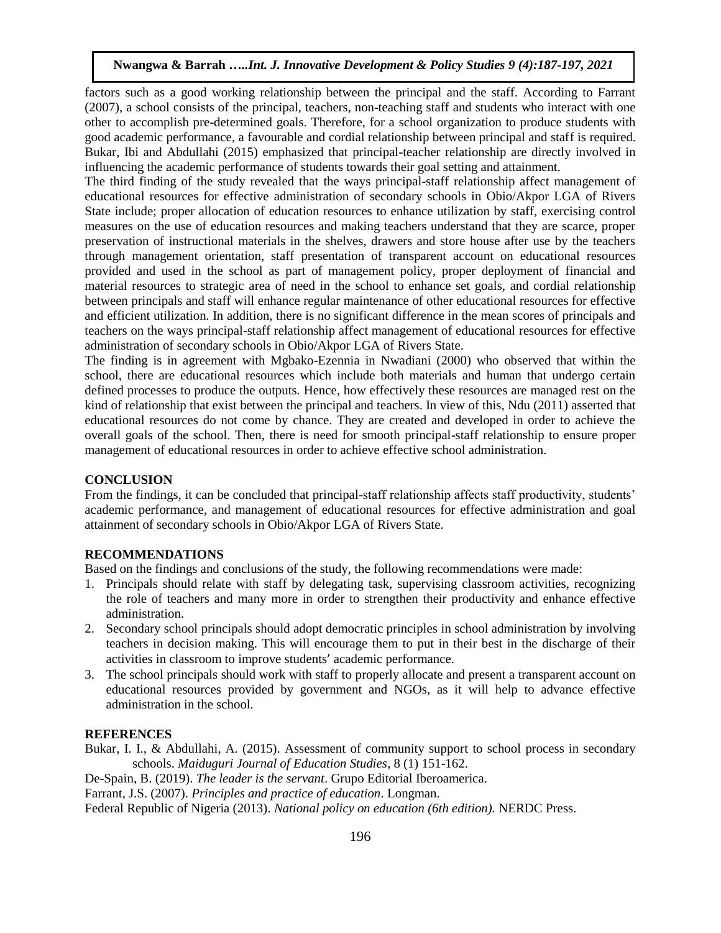factors such as a good working relationship between the principal and the staff. According to Farrant (2007), a school consists of the principal, teachers, non-teaching staff and students who interact with one other to accomplish pre-determined goals. Therefore, for a school organization to produce students with good academic performance, a favourable and cordial relationship between principal and staff is required. Bukar, Ibi and Abdullahi (2015) emphasized that principal-teacher relationship are directly involved in influencing the academic performance of students towards their goal setting and attainment.

The third finding of the study revealed that the ways principal-staff relationship affect management of educational resources for effective administration of secondary schools in Obio/Akpor LGA of Rivers State include; proper allocation of education resources to enhance utilization by staff, exercising control measures on the use of education resources and making teachers understand that they are scarce, proper preservation of instructional materials in the shelves, drawers and store house after use by the teachers through management orientation, staff presentation of transparent account on educational resources provided and used in the school as part of management policy, proper deployment of financial and material resources to strategic area of need in the school to enhance set goals, and cordial relationship between principals and staff will enhance regular maintenance of other educational resources for effective and efficient utilization. In addition, there is no significant difference in the mean scores of principals and teachers on the ways principal-staff relationship affect management of educational resources for effective administration of secondary schools in Obio/Akpor LGA of Rivers State.

The finding is in agreement with Mgbako-Ezennia in Nwadiani (2000) who observed that within the school, there are educational resources which include both materials and human that undergo certain defined processes to produce the outputs. Hence, how effectively these resources are managed rest on the kind of relationship that exist between the principal and teachers. In view of this, Ndu (2011) asserted that educational resources do not come by chance. They are created and developed in order to achieve the overall goals of the school. Then, there is need for smooth principal-staff relationship to ensure proper management of educational resources in order to achieve effective school administration.

## **CONCLUSION**

From the findings, it can be concluded that principal-staff relationship affects staff productivity, students' academic performance, and management of educational resources for effective administration and goal attainment of secondary schools in Obio/Akpor LGA of Rivers State.

## **RECOMMENDATIONS**

Based on the findings and conclusions of the study, the following recommendations were made:

- 1. Principals should relate with staff by delegating task, supervising classroom activities, recognizing the role of teachers and many more in order to strengthen their productivity and enhance effective administration.
- 2. Secondary school principals should adopt democratic principles in school administration by involving teachers in decision making. This will encourage them to put in their best in the discharge of their activities in classroom to improve students' academic performance.
- 3. The school principals should work with staff to properly allocate and present a transparent account on educational resources provided by government and NGOs, as it will help to advance effective administration in the school.

## **REFERENCES**

Bukar, I. I., & Abdullahi, A. (2015). Assessment of community support to school process in secondary schools. *Maiduguri Journal of Education Studies*, 8 (1) 151-162.

De-Spain, B. (2019). *The leader is the servant*. Grupo Editorial Iberoamerica.

Farrant, J.S. (2007). *Principles and practice of education*. Longman.

Federal Republic of Nigeria (2013). *National policy on education (6th edition).* NERDC Press.